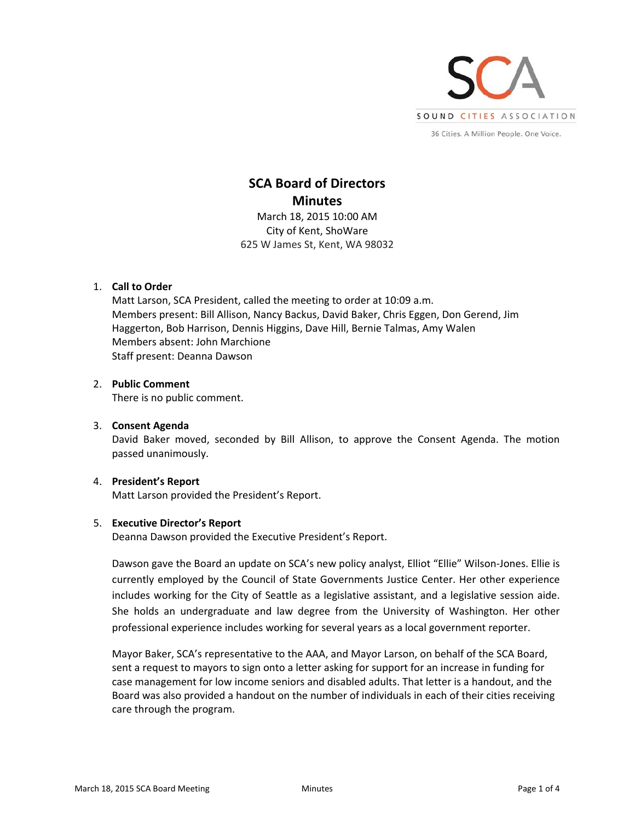

# **SCA Board of Directors Minutes**

March 18, 2015 10:00 AM City of Kent, ShoWare 625 W James St, Kent, WA 98032

# 1. **Call to Order**

Matt Larson, SCA President, called the meeting to order at 10:09 a.m. Members present: Bill Allison, Nancy Backus, David Baker, Chris Eggen, Don Gerend, Jim Haggerton, Bob Harrison, Dennis Higgins, Dave Hill, Bernie Talmas, Amy Walen Members absent: John Marchione Staff present: Deanna Dawson

# 2. **Public Comment**

There is no public comment.

# 3. **Consent Agenda**

David Baker moved, seconded by Bill Allison, to approve the Consent Agenda. The motion passed unanimously.

#### 4. **President's Report**

Matt Larson provided the President's Report.

#### 5. **Executive Director's Report**

Deanna Dawson provided the Executive President's Report.

Dawson gave the Board an update on SCA's new policy analyst, Elliot "Ellie" Wilson‐Jones. Ellie is currently employed by the Council of State Governments Justice Center. Her other experience includes working for the City of Seattle as a legislative assistant, and a legislative session aide. She holds an undergraduate and law degree from the University of Washington. Her other professional experience includes working for several years as a local government reporter.

Mayor Baker, SCA's representative to the AAA, and Mayor Larson, on behalf of the SCA Board, sent a request to mayors to sign onto a letter asking for support for an increase in funding for case management for low income seniors and disabled adults. That letter is a handout, and the Board was also provided a handout on the number of individuals in each of their cities receiving care through the program.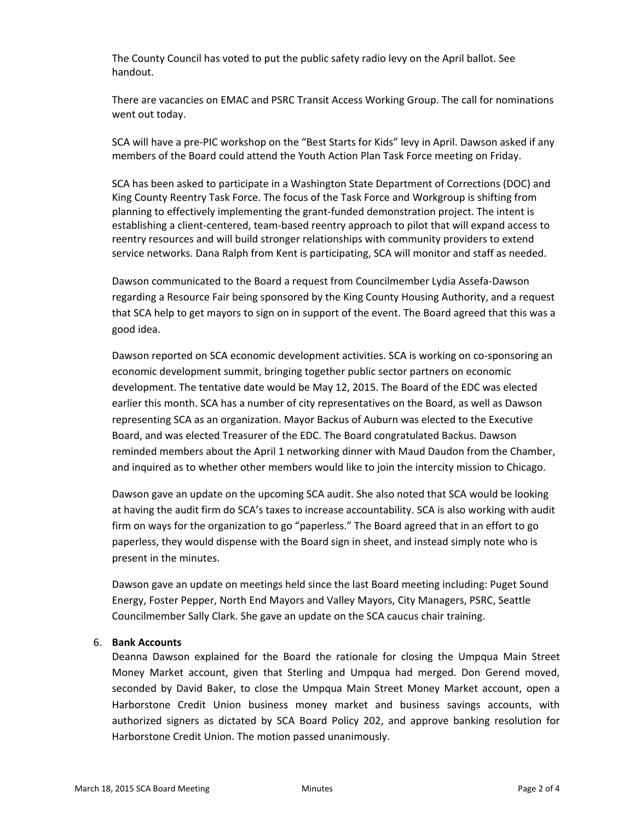The County Council has voted to put the public safety radio levy on the April ballot. See handout.

There are vacancies on EMAC and PSRC Transit Access Working Group. The call for nominations went out today.

SCA will have a pre‐PIC workshop on the "Best Starts for Kids" levy in April. Dawson asked if any members of the Board could attend the Youth Action Plan Task Force meeting on Friday.

SCA has been asked to participate in a Washington State Department of Corrections (DOC) and King County Reentry Task Force. The focus of the Task Force and Workgroup is shifting from planning to effectively implementing the grant‐funded demonstration project. The intent is establishing a client‐centered, team‐based reentry approach to pilot that will expand access to reentry resources and will build stronger relationships with community providers to extend service networks. Dana Ralph from Kent is participating, SCA will monitor and staff as needed.

Dawson communicated to the Board a request from Councilmember Lydia Assefa‐Dawson regarding a Resource Fair being sponsored by the King County Housing Authority, and a request that SCA help to get mayors to sign on in support of the event. The Board agreed that this was a good idea.

Dawson reported on SCA economic development activities. SCA is working on co‐sponsoring an economic development summit, bringing together public sector partners on economic development. The tentative date would be May 12, 2015. The Board of the EDC was elected earlier this month. SCA has a number of city representatives on the Board, as well as Dawson representing SCA as an organization. Mayor Backus of Auburn was elected to the Executive Board, and was elected Treasurer of the EDC. The Board congratulated Backus. Dawson reminded members about the April 1 networking dinner with Maud Daudon from the Chamber, and inquired as to whether other members would like to join the intercity mission to Chicago.

Dawson gave an update on the upcoming SCA audit. She also noted that SCA would be looking at having the audit firm do SCA's taxes to increase accountability. SCA is also working with audit firm on ways for the organization to go "paperless." The Board agreed that in an effort to go paperless, they would dispense with the Board sign in sheet, and instead simply note who is present in the minutes.

Dawson gave an update on meetings held since the last Board meeting including: Puget Sound Energy, Foster Pepper, North End Mayors and Valley Mayors, City Managers, PSRC, Seattle Councilmember Sally Clark. She gave an update on the SCA caucus chair training.

#### 6. **Bank Accounts**

Deanna Dawson explained for the Board the rationale for closing the Umpqua Main Street Money Market account, given that Sterling and Umpqua had merged. Don Gerend moved, seconded by David Baker, to close the Umpqua Main Street Money Market account, open a Harborstone Credit Union business money market and business savings accounts, with authorized signers as dictated by SCA Board Policy 202, and approve banking resolution for Harborstone Credit Union. The motion passed unanimously.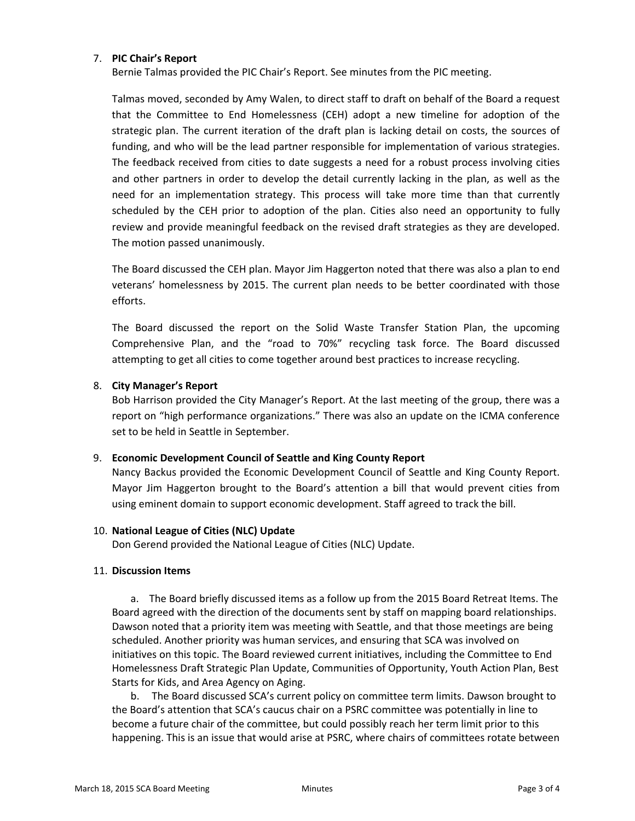## 7. **PIC Chair's Report**

Bernie Talmas provided the PIC Chair's Report. See minutes from the PIC meeting.

Talmas moved, seconded by Amy Walen, to direct staff to draft on behalf of the Board a request that the Committee to End Homelessness (CEH) adopt a new timeline for adoption of the strategic plan. The current iteration of the draft plan is lacking detail on costs, the sources of funding, and who will be the lead partner responsible for implementation of various strategies. The feedback received from cities to date suggests a need for a robust process involving cities and other partners in order to develop the detail currently lacking in the plan, as well as the need for an implementation strategy. This process will take more time than that currently scheduled by the CEH prior to adoption of the plan. Cities also need an opportunity to fully review and provide meaningful feedback on the revised draft strategies as they are developed. The motion passed unanimously.

The Board discussed the CEH plan. Mayor Jim Haggerton noted that there was also a plan to end veterans' homelessness by 2015. The current plan needs to be better coordinated with those efforts.

The Board discussed the report on the Solid Waste Transfer Station Plan, the upcoming Comprehensive Plan, and the "road to 70%" recycling task force. The Board discussed attempting to get all cities to come together around best practices to increase recycling.

## 8. **City Manager's Report**

Bob Harrison provided the City Manager's Report. At the last meeting of the group, there was a report on "high performance organizations." There was also an update on the ICMA conference set to be held in Seattle in September.

#### 9. **Economic Development Council of Seattle and King County Report**

Nancy Backus provided the Economic Development Council of Seattle and King County Report. Mayor Jim Haggerton brought to the Board's attention a bill that would prevent cities from using eminent domain to support economic development. Staff agreed to track the bill.

#### 10. **National League of Cities (NLC) Update**

Don Gerend provided the National League of Cities (NLC) Update.

#### 11. **Discussion Items**

a. The Board briefly discussed items as a follow up from the 2015 Board Retreat Items. The Board agreed with the direction of the documents sent by staff on mapping board relationships. Dawson noted that a priority item was meeting with Seattle, and that those meetings are being scheduled. Another priority was human services, and ensuring that SCA was involved on initiatives on this topic. The Board reviewed current initiatives, including the Committee to End Homelessness Draft Strategic Plan Update, Communities of Opportunity, Youth Action Plan, Best Starts for Kids, and Area Agency on Aging.

b. The Board discussed SCA's current policy on committee term limits. Dawson brought to the Board's attention that SCA's caucus chair on a PSRC committee was potentially in line to become a future chair of the committee, but could possibly reach her term limit prior to this happening. This is an issue that would arise at PSRC, where chairs of committees rotate between